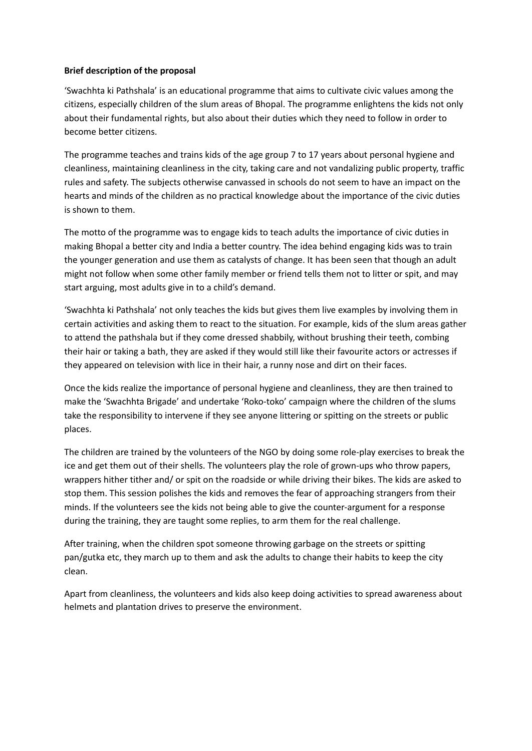## **Brief description of the proposal**

'Swachhta ki Pathshala' is an educational programme that aims to cultivate civic values among the citizens, especially children of the slum areas of Bhopal. The programme enlightens the kids not only about their fundamental rights, but also about their duties which they need to follow in order to become better citizens.

The programme teaches and trains kids of the age group 7 to 17 years about personal hygiene and cleanliness, maintaining cleanliness in the city, taking care and not vandalizing public property, traffic rules and safety. The subjects otherwise canvassed in schools do not seem to have an impact on the hearts and minds of the children as no practical knowledge about the importance of the civic duties is shown to them.

The motto of the programme was to engage kids to teach adults the importance of civic duties in making Bhopal a better city and India a better country. The idea behind engaging kids was to train the younger generation and use them as catalysts of change. It has been seen that though an adult might not follow when some other family member or friend tells them not to litter or spit, and may start arguing, most adults give in to a child's demand.

'Swachhta ki Pathshala' not only teaches the kids but gives them live examples by involving them in certain activities and asking them to react to the situation. For example, kids of the slum areas gather to attend the pathshala but if they come dressed shabbily, without brushing their teeth, combing their hair or taking a bath, they are asked if they would still like their favourite actors or actresses if they appeared on television with lice in their hair, a runny nose and dirt on their faces.

Once the kids realize the importance of personal hygiene and cleanliness, they are then trained to make the 'Swachhta Brigade' and undertake 'Roko-toko' campaign where the children of the slums take the responsibility to intervene if they see anyone littering or spitting on the streets or public places.

The children are trained by the volunteers of the NGO by doing some role-play exercises to break the ice and get them out of their shells. The volunteers play the role of grown-ups who throw papers, wrappers hither tither and/ or spit on the roadside or while driving their bikes. The kids are asked to stop them. This session polishes the kids and removes the fear of approaching strangers from their minds. If the volunteers see the kids not being able to give the counter-argument for a response during the training, they are taught some replies, to arm them for the real challenge.

After training, when the children spot someone throwing garbage on the streets or spitting pan/gutka etc, they march up to them and ask the adults to change their habits to keep the city clean.

Apart from cleanliness, the volunteers and kids also keep doing activities to spread awareness about helmets and plantation drives to preserve the environment.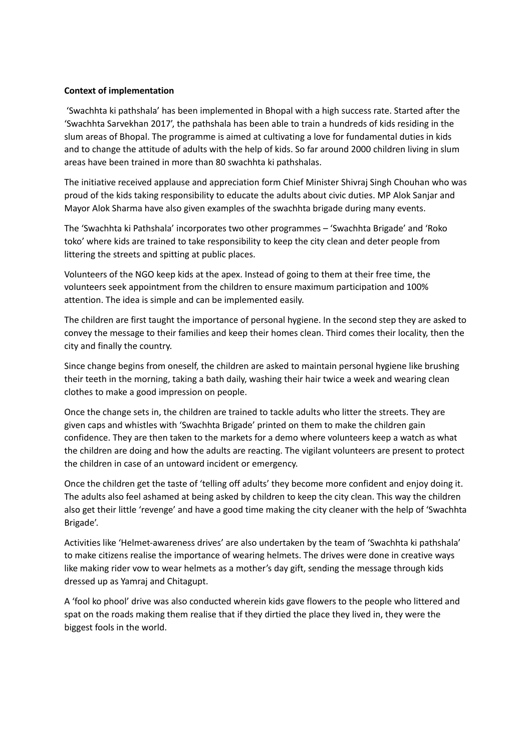## **Context of implementation**

'Swachhta ki pathshala' has been implemented in Bhopal with a high success rate. Started after the 'Swachhta Sarvekhan 2017', the pathshala has been able to train a hundreds of kids residing in the slum areas of Bhopal. The programme is aimed at cultivating a love for fundamental duties in kids and to change the attitude of adults with the help of kids. So far around 2000 children living in slum areas have been trained in more than 80 swachhta ki pathshalas.

The initiative received applause and appreciation form Chief Minister Shivraj Singh Chouhan who was proud of the kids taking responsibility to educate the adults about civic duties. MP Alok Sanjar and Mayor Alok Sharma have also given examples of the swachhta brigade during many events.

The 'Swachhta ki Pathshala' incorporates two other programmes – 'Swachhta Brigade' and 'Roko toko' where kids are trained to take responsibility to keep the city clean and deter people from littering the streets and spitting at public places.

Volunteers of the NGO keep kids at the apex. Instead of going to them at their free time, the volunteers seek appointment from the children to ensure maximum participation and 100% attention. The idea is simple and can be implemented easily.

The children are first taught the importance of personal hygiene. In the second step they are asked to convey the message to their families and keep their homes clean. Third comes their locality, then the city and finally the country.

Since change begins from oneself, the children are asked to maintain personal hygiene like brushing their teeth in the morning, taking a bath daily, washing their hair twice a week and wearing clean clothes to make a good impression on people.

Once the change sets in, the children are trained to tackle adults who litter the streets. They are given caps and whistles with 'Swachhta Brigade' printed on them to make the children gain confidence. They are then taken to the markets for a demo where volunteers keep a watch as what the children are doing and how the adults are reacting. The vigilant volunteers are present to protect the children in case of an untoward incident or emergency.

Once the children get the taste of 'telling off adults' they become more confident and enjoy doing it. The adults also feel ashamed at being asked by children to keep the city clean. This way the children also get their little 'revenge' and have a good time making the city cleaner with the help of 'Swachhta Brigade'.

Activities like 'Helmet-awareness drives' are also undertaken by the team of 'Swachhta ki pathshala' to make citizens realise the importance of wearing helmets. The drives were done in creative ways like making rider vow to wear helmets as a mother's day gift, sending the message through kids dressed up as Yamraj and Chitagupt.

A 'fool ko phool' drive was also conducted wherein kids gave flowers to the people who littered and spat on the roads making them realise that if they dirtied the place they lived in, they were the biggest fools in the world.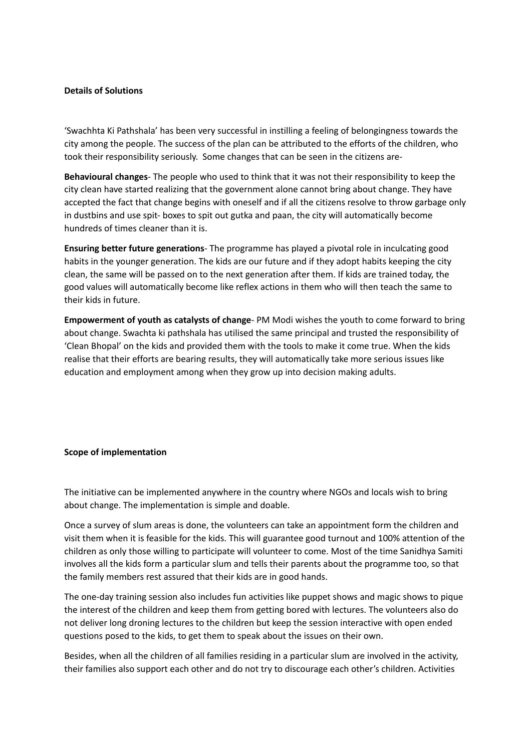## **Details of Solutions**

'Swachhta Ki Pathshala' has been very successful in instilling a feeling of belongingness towards the city among the people. The success of the plan can be attributed to the efforts of the children, who took their responsibility seriously. Some changes that can be seen in the citizens are-

**Behavioural changes**- The people who used to think that it was not their responsibility to keep the city clean have started realizing that the government alone cannot bring about change. They have accepted the fact that change begins with oneself and if all the citizens resolve to throw garbage only in dustbins and use spit- boxes to spit out gutka and paan, the city will automatically become hundreds of times cleaner than it is.

**Ensuring better future generations**- The programme has played a pivotal role in inculcating good habits in the younger generation. The kids are our future and if they adopt habits keeping the city clean, the same will be passed on to the next generation after them. If kids are trained today, the good values will automatically become like reflex actions in them who will then teach the same to their kids in future.

**Empowerment of youth as catalysts of change**- PM Modi wishes the youth to come forward to bring about change. Swachta ki pathshala has utilised the same principal and trusted the responsibility of 'Clean Bhopal' on the kids and provided them with the tools to make it come true. When the kids realise that their efforts are bearing results, they will automatically take more serious issues like education and employment among when they grow up into decision making adults.

## **Scope of implementation**

The initiative can be implemented anywhere in the country where NGOs and locals wish to bring about change. The implementation is simple and doable.

Once a survey of slum areas is done, the volunteers can take an appointment form the children and visit them when it is feasible for the kids. This will guarantee good turnout and 100% attention of the children as only those willing to participate will volunteer to come. Most of the time Sanidhya Samiti involves all the kids form a particular slum and tells their parents about the programme too, so that the family members rest assured that their kids are in good hands.

The one-day training session also includes fun activities like puppet shows and magic shows to pique the interest of the children and keep them from getting bored with lectures. The volunteers also do not deliver long droning lectures to the children but keep the session interactive with open ended questions posed to the kids, to get them to speak about the issues on their own.

Besides, when all the children of all families residing in a particular slum are involved in the activity, their families also support each other and do not try to discourage each other's children. Activities